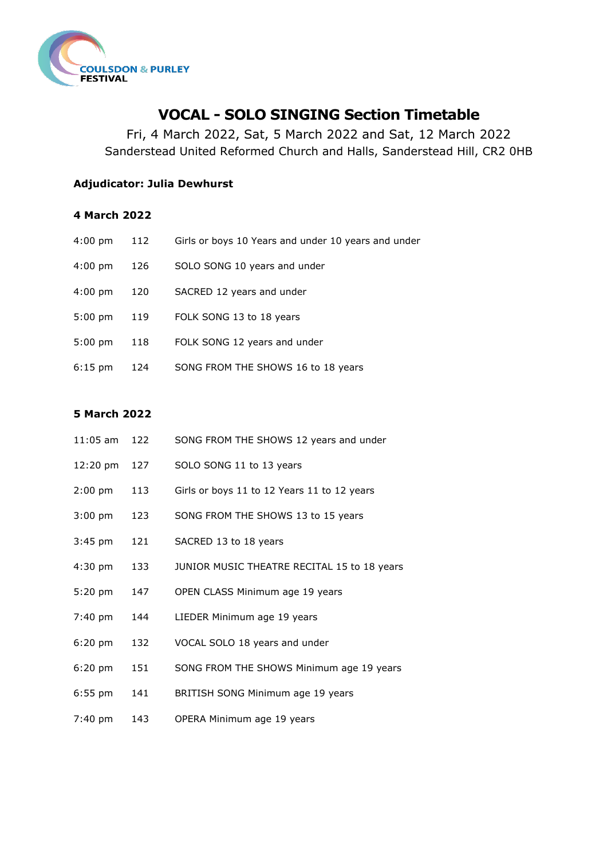

# **VOCAL - SOLO SINGING Section Timetable**

Fri, 4 March 2022, Sat, 5 March 2022 and Sat, 12 March 2022 Sanderstead United Reformed Church and Halls, Sanderstead Hill, CR2 0HB

## **Adjudicator: Julia Dewhurst**

### **4 March 2022**

| $4:00 \text{ pm}$ | 112 | Girls or boys 10 Years and under 10 years and under |
|-------------------|-----|-----------------------------------------------------|
| $4:00 \text{ pm}$ | 126 | SOLO SONG 10 years and under                        |
| $4:00 \text{ pm}$ | 120 | SACRED 12 years and under                           |
| $5:00$ pm         | 119 | FOLK SONG 13 to 18 years                            |
| $5:00 \text{ pm}$ | 118 | FOLK SONG 12 years and under                        |
| $6:15$ pm         | 124 | SONG FROM THE SHOWS 16 to 18 years                  |

## **5 March 2022**

| $11:05$ am        | 122 | SONG FROM THE SHOWS 12 years and under      |
|-------------------|-----|---------------------------------------------|
| 12:20 pm          | 127 | SOLO SONG 11 to 13 years                    |
| $2:00$ pm         | 113 | Girls or boys 11 to 12 Years 11 to 12 years |
| $3:00$ pm         | 123 | SONG FROM THE SHOWS 13 to 15 years          |
| $3:45$ pm         | 121 | SACRED 13 to 18 years                       |
| 4:30 pm           | 133 | JUNIOR MUSIC THEATRE RECITAL 15 to 18 years |
| $5:20$ pm         | 147 | OPEN CLASS Minimum age 19 years             |
| 7:40 pm           | 144 | LIEDER Minimum age 19 years                 |
| $6:20 \text{ pm}$ | 132 | VOCAL SOLO 18 years and under               |
| $6:20$ pm         | 151 | SONG FROM THE SHOWS Minimum age 19 years    |
| $6:55$ pm         | 141 | BRITISH SONG Minimum age 19 years           |
| $7:40 \text{ pm}$ | 143 | OPERA Minimum age 19 years                  |